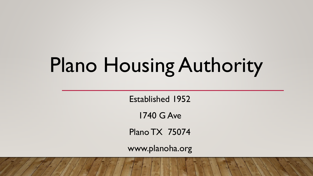# Plano Housing Authority

Established 1952

1740 G Ave

Plano TX 75074

www.planoha.org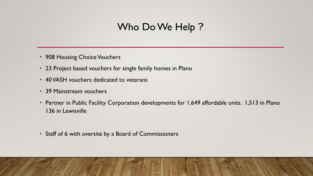## Who Do We Help ?

- 908 Housing Choice Vouchers
- 23 Project based vouchers for single family homes in Plano
- 40 VASH vouchers dedicated to veterans
- 39 Mainstream vouchers
- Partner in Public Facility Corporation developments for 1,649 affordable units. 1,513 in Plano 136 in Lewisville
- Staff of 6 with oversite by a Board of Commissioners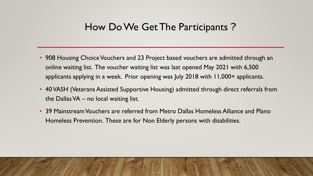#### How Do We Get The Participants ?

- 908 Housing Choice Vouchers and 23 Project based vouchers are admitted through an online waiting list. The voucher waiting list was last opened May 2021 with 6,500 applicants applying in a week. Prior opening was July 2018 with 11,000+ applicants.
- 40 VASH (Veterans Assisted Supportive Housing) admitted through direct referrals from the Dallas VA – no local waiting list.
- 39 Mainstream Vouchers are referred from Metro Dallas Homeless Alliance and Plano Homeless Prevention. These are for Non Elderly persons with disabilities.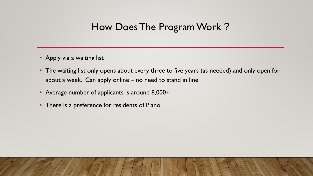#### How Does The Program Work ?

- Apply via a waiting list
- The waiting list only opens about every three to five years (as needed) and only open for about a week. Can apply online – no need to stand in line
- Average number of applicants is around 8,000+
- There is a preference for residents of Plano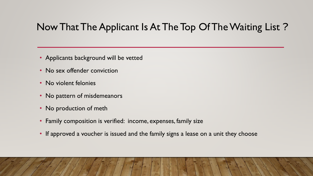# Now That The Applicant Is At The Top Of The Waiting List ?

- Applicants background will be vetted
- No sex offender conviction
- No violent felonies
- No pattern of misdemeanors
- No production of meth
- Family composition is verified: income, expenses, family size
- If approved a voucher is issued and the family signs a lease on a unit they choose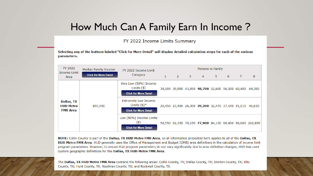## How Much Can A Family Earn In Income ?

FY 2022 Income Limits Summary

Selecting any of the buttons labeled "Click for More Detail" will display detailed calculation steps for each of the various parameters.

| FY 2022<br>Income Limit<br>Area                   | Median Family Income         | FY 2022 Income Limit                                                           | Persons in Family |                |   |                                                  |                |   |   |                                                          |  |  |  |
|---------------------------------------------------|------------------------------|--------------------------------------------------------------------------------|-------------------|----------------|---|--------------------------------------------------|----------------|---|---|----------------------------------------------------------|--|--|--|
|                                                   | <b>Click for More Detail</b> | Category                                                                       |                   | $\overline{2}$ | 3 | $\overline{4}$                                   | 5 <sup>1</sup> | 6 | 7 | 8                                                        |  |  |  |
|                                                   |                              | Very Low (50%) Income<br>Limits $(\$)$<br><b>Click for More Detail</b>         |                   |                |   | 34,100 39,000 43,850 48,700 52,600 56,500 60,400 |                |   |   | 64,300                                                   |  |  |  |
| Dallas, TX<br><b>HUD Metro</b><br><b>FMR Area</b> | \$97,400                     | <b>Extremely Low Income</b><br>Limits $(\$)^*$<br><b>Click for More Detail</b> |                   |                |   | 20,450 23,400 26,300 29,200 32,470 37,190 41,910 |                |   |   | 46,630                                                   |  |  |  |
|                                                   |                              | Low (80%) Income Limits<br>$($ \$)<br><b>Click for More Detail</b>             |                   |                |   |                                                  |                |   |   | 54,550 62,350 70,150 77,900 84,150 90,400 96,600 102,850 |  |  |  |

NOTE: Collin County is part of the Dallas, TX HUD Metro FMR Area, so all information presented here applies to all of the Dallas, TX HUD Metro FMR Area. HUD generally uses the Office of Management and Budget (OMB) area definitions in the calculation of income limit program parameters. However, to ensure that program parameters do not vary significantly due to area definition changes, HUD has used custom geographic definitions for the Dallas, TX HUD Metro FMR Area.



The Dallas, TX HUD Metro FMR Area contains the following areas: Collin County, TX; Dallas County, TX; Denton County, TX; Ellis County, TX; Hunt County, TX; Kaufman County, TX; and Rockwall County, TX.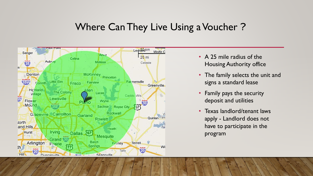## Where Can They Live Using a Voucher ?



- A 25 mile radius of the Housing Authority office
- The family selects the unit and signs a standard lease
- Family pays the security deposit and utilities
- Texas landlord/tenant laws apply - Landlord does not have to participate in the program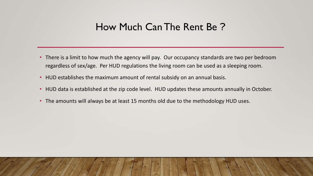#### How Much Can The Rent Be ?

- There is a limit to how much the agency will pay. Our occupancy standards are two per bedroom regardless of sex/age. Per HUD regulations the living room can be used as a sleeping room.
- HUD establishes the maximum amount of rental subsidy on an annual basis.
- HUD data is established at the zip code level. HUD updates these amounts annually in October.
- The amounts will always be at least 15 months old due to the methodology HUD uses.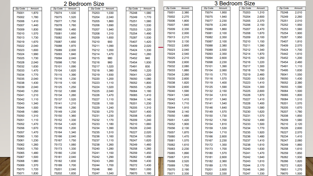| 2 Bedroom Size |                 |        |  |                |                |  |                 |        | 3 Bedroom Size  |                |          |        |  |                 |        |  |                 |        |  |                 |        |
|----------------|-----------------|--------|--|----------------|----------------|--|-----------------|--------|-----------------|----------------|----------|--------|--|-----------------|--------|--|-----------------|--------|--|-----------------|--------|
|                | <b>Zip Code</b> | Amount |  | Zip Code       | Amount         |  | <b>Zip Code</b> | Amount | <b>Zip Code</b> | Amount         | Zip Code | Amount |  | <b>Zip Code</b> | Amount |  | <b>Zip Code</b> | Amount |  | <b>Zip Code</b> | Amount |
|                | 75001           | 1,870  |  | 75074          | 1,530          |  | 75203           | 1,030  | 75248           | 1,580          | 75001    | 2,380  |  | 75074           | 1,950  |  | 75203           | 1,310  |  | 75248           | 2,010  |
|                | 75002           | 1,780  |  | 75075          | 1,520          |  | 75204           | 2,040  | 75249           | 1,770          | 75002    | 2,270  |  | 75075           | 1,940  |  | 75204           | 2,600  |  | 75249           | 2,260  |
|                | 75006           | 1,410  |  | 75077          | 1,750          |  | 75205           | 1,860  | 75251           | 1,580          | 75006    | 1,800  |  | 75077           | 2,230  |  | 75205           | 2,370  |  | 75251           | 2,010  |
|                | 75007           | 1,440  |  | 75078          | 1,760          |  | 75206           | 1,690  | 75252           | 1,530          | 75007    | 1,840  |  | 75078           | 2,240  |  | 75206           | 2,150  |  | 75252           | 1,950  |
|                | 75009           | 1,830  |  | 75080          | 1,460          |  | 75207           | 1,940  | 75253           | 1,220          | 75009    | 2,330  |  | 75080           | 1,860  |  | 75207           | 2,470  |  | 75253           | 1,560  |
|                | 75010           | 1,570  |  | 75081          | 1,650          |  | 75208           | 1,310  | 75254           | 1,490          | 75010    | 2,000  |  | 75081           | 2,100  |  | 75208           | 1,670  |  | 75254           | 1,900  |
|                | 75013           | 1,730  |  | 75082          | 1,840          |  | 75209           | 1,650  | 75287           | 1,530          | 75013    | 2,210  |  | 75082           | 2,350  |  | 75209           | 2,100  |  | 75287           | 1,950  |
|                | 75019           | 1,670  |  | 75087          | 1,650          |  | 75210           | 900    | 75407           | 1,420          | 75019    | 2,130  |  | 75087           | 2,100  |  | 75210           | 1,150  |  | 75407           | 1,810  |
|                | 75022           | 2,040  |  | 75088          | 1,870          |  | 75211           | 1,090  | 75409           | 2,020          | 75022    | 2,600  |  | 75088           | 2,380  |  | 75211           | 1,390  |  | 75409           | 2,570  |
|                | 75023           | 1,600  |  | 75089          | 2,000          |  | 75212           | 1,050  | 75424           | 1,330          | 75023    | 2,040  |  | 75089           | 2,550  |  | 75212           | 1,340  |  | 75424           | 1,700  |
|                | 75024           | 1,990  |  | 75093          | 1,840          |  | 75214           | 1,470  | 75442           | 1,260          | 75024    | 2,540  |  | 75093           | 2,350  |  | 75214           | 1,870  |  | 75442           | 1,610  |
|                | 75025           | 1,730  |  | 75094          | 2,040          |  | 75215           | 980    | 75452           | 940            | 75025    | 2,210  |  | 75094           | 2,600  |  | 75215           | 1,250  |  | 75452           | 1,200  |
|                | 75028           | 2,040  |  | 75098          | 1,750          |  | 75216           | 960    | 75454           | 1,930          | 75028    | 2,600  |  | 75098           | 2,230  |  | 75216           | 1,220  |  | 75454           | 2,460  |
|                | 75032           | 1,630  |  | 75101          | 1,090          |  | 75217           | 1,020  | 75491           | 830            | 75032    | 2,080  |  | 75101           | 1,390  |  | 75217           | 1,300  |  | 75491           | 1,110  |
|                | 75033           | 1,470  |  | 75104          | 1,620          |  | 75218           | 1,380  | 75495           | 1,220          | 75033    | 1,880  |  | 75104           | 2,060  |  | 75218           | 1,760  |  | 75495           | 1,630  |
|                | 75034           | 1,770  |  | 75115          | 1,390          |  | 75219           | 1,930  | 76041           | 1,220          | 75034    | 2,260  |  | 75115           | 1,770  |  | 75219           | 2,460  |  | 76041           | 1,550  |
|                | 75035           | 2,040  |  | 75116          | 1,230          |  | 75220           | 1,200  | 76050           | 1,080          | 75035    | 2,600  |  | 75116           | 1,570  |  | 75220           | 1,530  |  | 76050           | 1,430  |
|                | 75038           | 1,430  |  | 75119          | 1,100          |  | 75223           | 1,110  | 76052           | 1,800          | 75038    | 1,820  |  | 75119           | 1,400  |  | 75223           | 1,410  |  | 76052           | 2,380  |
|                | 75039           | 2,040  |  | 75125          | 1,250          |  | 75224           | 1,020  | 76055           | 1,250          | 75039    | 2,600  |  | 75125           | 1,590  |  | 75224           | 1,300  |  | 76055           | 1,590  |
|                | 75040           | 1,250  |  | 75132          | 1,690          |  | 75225           | 2,040  | 76064           | 1,180          | 75040    | 1,590  |  | 75132           | 2,150  |  | 75225           | 2,600  |  | 76064           | 1,500  |
|                | 75041           | 1,210  |  | 75134          | 1,260          |  | 75226           | 1,470  | 76065           | 1,410          | 75041    | 1,540  |  | 75134           | 1,610  |  | 75226           | 1,870  |  | 76065           | 1,800  |
|                | 75042           | 1,110  |  | 75137          | 1,520          |  | 75227           | 1,110  | 76084           | 1,140          | 75042    | 1,410  |  | 75137           | 1,940  |  | 75227           | 1,410  |  | 76084           | 1,510  |
|                | 75043           | 1,340  |  | 75141          | 1,210          |  | 75228           | 1,100  | 76201           | 1,230          | 75043    | 1,710  |  | 75141           | 1,540  |  | 75228           | 1,400  |  | 76201           | 1,570  |
|                | 75044           | 1,500  |  | 75146          | 1,290          |  | 75229           | 1,240  | 76205           | 1,310          | 75044    | 1,910  |  | 75146           | 1,640  |  | 75229           | 1,580  |  | 76205           | 1,670  |
|                | 75048           | 1,680  |  | 75149          | 1,230          |  | 75230           | 1,270  | 76207           | 1,400          | 75048    | 2,140  |  | 75149           | 1,570  |  | 75230           | 1,620  |  | 76207           | 1,780  |
|                | 75050           | 1,310  |  | 75150          | 1,360          |  | 75231           | 1,230  | 76208           | 1,450          | 75050    | 1,680  |  | 75150           | 1,730  |  | 75231           | 1,570  |  | 76208           | 1,850  |
|                | 75051           | 1,110  |  | 75152          | 1,330          |  | 75232           | 1,170  | 76209           | 1,240          | 75051    | 1,420  |  | 75152           | 1,700  |  | 75232           | 1,490  |  | 76209           | 1,580  |
|                | 75052           | 1,470  |  | 75154          | 1,420          |  | 75233           | 1,180  | 76210           | 1,660          | 75052    | 1,900  |  | 75154           | 1,810  |  | 75233           | 1,500  |  | 76210           | 2,120  |
|                | 75056           | 1,670  |  | 75159          | 1,200          |  | 75234           | 1,390  | 76226           | 2,040          | 75056    | 2,130  |  | 75159           | 1,530  |  | 75234           | 1,770  |  | 76226           | 2,600  |
|                | 75057           | 1,470  |  | 75164          | 1,340          |  | 75235           | 1,510  | 76227           | 2,020          | 75057    | 1,870  |  | 75164           | 1,710  |  | 75235           | 1,920  |  | 76227           | 2,570  |
|                | 75060           | 1,150  |  | 75166          | 2,040          |  | 75236           | 1,160  | 76234           | 1,050          | 75060    | 1,470  |  | 75166           | 2,600  |  | 75236           | 1,480  |  | 76234           | 1,410  |
|                | 75061           | 1,230  |  | 75167          | 1,750          |  | 75237           | 1,110  | 76247           | 1,620          | 75061    | 1,570  |  | 75167           | 2,230  |  | 75237           | 1,410  |  | 76247           | 2,060  |
|                | 75062           | 1,260  |  | 75172          | 1,060          |  | 75238           | 1,260  | 76249           | 1,460          | 75062    | 1,610  |  | 75172           | 1,350  |  | 75238           | 1,610  |  | 76249           | 1,860  |
|                | 75063           | 1,750  |  | 75173          | 1,330          |  | 75240           | 1,280  | 76258           | 1,260          | 75063    | 2,230  |  | 75173           | 1,700  |  | 75240           | 1,630  |  | 76258           | 1,610  |
|                | 75065           | 1,480  |  | 75180          | 1,230          |  | 75241           | 1,150  | 76259           | 1,450          | 75065    | 1,890  |  | 75180           | 1,570  |  | 75241           | 1,470  |  | 76259           | 1,850  |
|                | 75067           | 1,500  |  | 75181          | 2,040          |  | 75242           | 1,290  | 76262           | 1,490          | 75067    | 1,910  |  | 75181           | 2,600  |  | 75242           | 1,640  |  | 76262           | 1,930  |
|                | 75068           | 1,980  |  | 75182          | 1,830          |  | 75243           | 1,260  | 76266           | 1,430          | 75068    | 2,520  |  | 75182           | 2,360  |  | 75243           | 1,610  |  | 76266           | 1,820  |
|                | 75069           | 1,370  |  | 75189          | 1,700          |  | 75244           | 1,700  | 76272           | 1,430          | 75069    | 1,750  |  | 75189           | 2,170  |  | 75244           | 2,170  |  | 76272           | 1,820  |
|                | 75070<br>75071  | 1,720  |  | 75201<br>75202 | 2,040<br>1,830 |  | 75246<br>75247  | 990    | 76651<br>76670  | 1,000<br>1,180 | 75070    | 2,190  |  | 75201           | 2,600  |  | 75246           | 1,260  |  | 76651           | 1,270  |
|                |                 | 1,830  |  |                |                |  |                 | 1,040  |                 |                | 75071    | 2,330  |  | 75202           | 2,330  |  | 75247           | 1,330  |  | 76670           | 1,500  |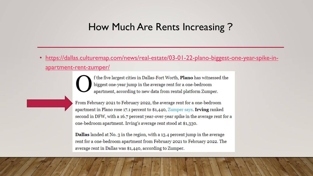#### How Much Are Rents Increasing ?

• [https://dallas.culturemap.com/news/real-estate/03-01-22-plano-biggest-one-year-spike-in](https://dallas.culturemap.com/news/real-estate/03-01-22-plano-biggest-one-year-spike-in-apartment-rent-zumper/)apartment-rent-zumper/

> f the five largest cities in Dallas-Fort Worth, **Plano** has witnessed the biggest one-year jump in the average rent for a one-bedroom apartment, according to new data from rental platform Zumper.

From February 2021 to February 2022, the average rent for a one-bedroom apartment in Plano rose 17.1 percent to \$1,440, Zumper says. Irving ranked second in DFW, with a 16.7 percent year-over-year spike in the average rent for a one-bedroom apartment. Irving's average rent stood at \$1,330.

**Dallas** landed at No. 3 in the region, with a 13.4 percent jump in the average rent for a one-bedroom apartment from February 2021 to February 2022. The average rent in Dallas was \$1,440, according to Zumper.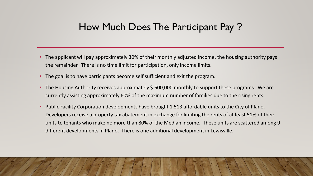#### How Much Does The Participant Pay ?

- The applicant will pay approximately 30% of their monthly adjusted income, the housing authority pays the remainder. There is no time limit for participation, only income limits.
- The goal is to have participants become self sufficient and exit the program.
- The Housing Authority receives approximately \$ 600,000 monthly to support these programs. We are currently assisting approximately 60% of the maximum number of families due to the rising rents.
- Public Facility Corporation developments have brought 1,513 affordable units to the City of Plano. Developers receive a property tax abatement in exchange for limiting the rents of at least 51% of their units to tenants who make no more than 80% of the Median income. These units are scattered among 9 different developments in Plano. There is one additional development in Lewisville.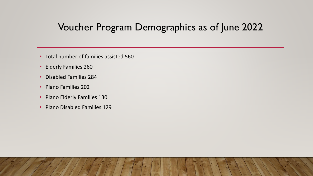## Voucher Program Demographics as of June 2022

- Total number of families assisted 560
- Elderly Families 260
- Disabled Families 284
- Plano Families 202
- Plano Elderly Families 130
- Plano Disabled Families 129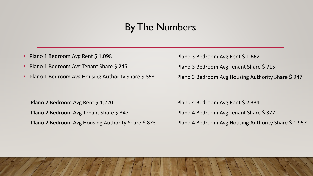## By The Numbers

- Plano 1 Bedroom Avg Rent \$1,098
- Plano 1 Bedroom Avg Tenant Share \$ 245
- Plano 1 Bedroom Avg Housing Authority Share \$853

Plano 3 Bedroom Avg Rent \$ 1,662

Plano 3 Bedroom Avg Tenant Share \$715

Plano 3 Bedroom Avg Housing Authority Share \$ 947

Plano 2 Bedroom Avg Rent \$ 1,220 Plano 2 Bedroom Avg Tenant Share \$ 347 Plano 2 Bedroom Avg Housing Authority Share \$ 873 Plano 4 Bedroom Avg Rent \$ 2,334 Plano 4 Bedroom Avg Tenant Share \$ 377 Plano 4 Bedroom Avg Housing Authority Share \$ 1,957